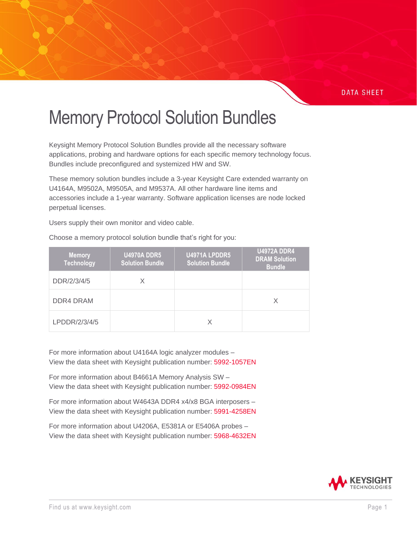#### **DATA SHEET**

# Memory Protocol Solution Bundles

Keysight Memory Protocol Solution Bundles provide all the necessary software applications, probing and hardware options for each specific memory technology focus. Bundles include preconfigured and systemized HW and SW.

These memory solution bundles include a 3-year Keysight Care extended warranty on U4164A, M9502A, M9505A, and M9537A. All other hardware line items and accessories include a 1-year warranty. Software application licenses are node locked perpetual licenses.

Users supply their own monitor and video cable.

| <b>Memory</b><br><b>Technology</b> | <b>U4970A DDR5</b><br><b>Solution Bundle</b> | U4971A LPDDR5<br><b>Solution Bundle</b> | <b>U4972A DDR4</b><br><b>DRAM Solution</b><br><b>Bundle</b> |
|------------------------------------|----------------------------------------------|-----------------------------------------|-------------------------------------------------------------|
| DDR/2/3/4/5                        | Χ                                            |                                         |                                                             |
| DDR4 DRAM                          |                                              |                                         | X                                                           |
| LPDDR/2/3/4/5                      |                                              | Χ                                       |                                                             |

Choose a memory protocol solution bundle that's right for you:

For more information about U4164A logic analyzer modules – View the data sheet with Keysight publication number: [5992-1057EN](https://www.keysight.com/us/en/assets/7018-04948/data-sheets/5992-1057.pdf)

For more information about B4661A Memory Analysis SW – View the data sheet with Keysight publication number: [5992-0984EN](https://www.keysight.com/us/en/assets/7018-04918/data-sheets/5992-0984.pdf?id=2636509)

For more information about W4643A DDR4 x4/x8 BGA interposers – View the data sheet with Keysight publication number: [5991-4258EN](https://www.keysight.com/us/en/assets/7018-04364/data-sheets/5991-4258.pdf)

For more information about U4206A, E5381A or E5406A probes – View the data sheet with Keysight publication number: [5968-4632EN](https://www.keysight.com/us/en/assets/7018-06707/data-sheets/5968-4632.pdf)

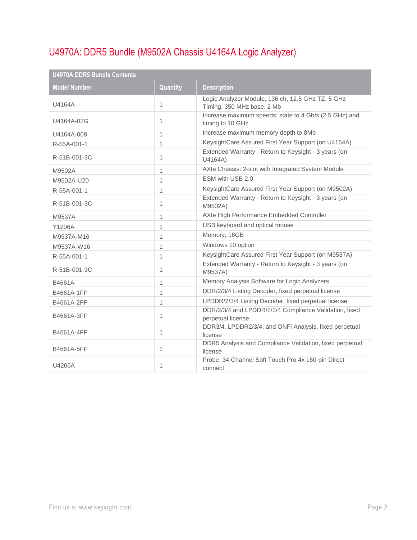# U4970A: DDR5 Bundle (M9502A Chassis U4164A Logic Analyzer)

| <b>U4970A DDR5 Bundle Contents</b> |          |                                                                                 |  |  |
|------------------------------------|----------|---------------------------------------------------------------------------------|--|--|
| <b>Model Number</b>                | Quantity | <b>Description</b>                                                              |  |  |
| U4164A                             | 1        | Logic Analyzer Module, 136 ch, 12.5 GHz TZ, 5 GHz<br>Timing, 350 MHz base, 2 Mb |  |  |
| U4164A-02G                         | 1        | Increase maximum speeds: state to 4 Gb/s (2.5 GHz) and<br>timing to 10 GHz      |  |  |
| U4164A-008                         | 1        | Increase maximum memory depth to 8Mb                                            |  |  |
| R-55A-001-1                        | 1        | KeysightCare Assured First Year Support (on U4164A)                             |  |  |
| R-51B-001-3C                       | 1        | Extended Warranty - Return to Keysight - 3 years (on<br>U4164A)                 |  |  |
| M9502A                             | 1        | AXIe Chassis: 2-slot with Integrated System Module                              |  |  |
| M9502A-U20                         | 1        | ESM with USB 2.0                                                                |  |  |
| R-55A-001-1                        | 1        | KeysightCare Assured First Year Support (on M9502A)                             |  |  |
| R-51B-001-3C                       | 1        | Extended Warranty - Return to Keysight - 3 years (on<br>M9502A)                 |  |  |
| M9537A                             | 1        | AXIe High Performance Embedded Controller                                       |  |  |
| Y1206A                             | 1        | USB keyboard and optical mouse                                                  |  |  |
| M9537A-M16                         | 1        | Memory, 16GB                                                                    |  |  |
| M9537A-W16                         | 1        | Windows 10 option                                                               |  |  |
| R-55A-001-1                        | 1        | KeysightCare Assured First Year Support (on M9537A)                             |  |  |
| R-51B-001-3C                       | 1        | Extended Warranty - Return to Keysight - 3 years (on<br>M9537A)                 |  |  |
| B4661A                             | 1        | Memory Analysis Software for Logic Analyzers                                    |  |  |
| B4661A-1FP                         | 1        | DDR/2/3/4 Listing Decoder, fixed perpetual license                              |  |  |
| B4661A-2FP                         | 1        | LPDDR/2/3/4 Listing Decoder, fixed perpetual license                            |  |  |
| B4661A-3FP                         | 1        | DDR/2/3/4 and LPDDR/2/3/4 Compliance Validation, fixed<br>perpetual license     |  |  |
| B4661A-4FP                         | 1        | DDR3/4, LPDDR2/3/4, and ONFi Analysis, fixed perpetual<br>license               |  |  |
| B4661A-5FP                         | 1        | DDR5 Analysis and Compliance Validation, fixed perpetual<br>license             |  |  |
| U4206A                             | 1        | Probe, 34 Channel Soft Touch Pro 4x 160-pin Direct<br>connect                   |  |  |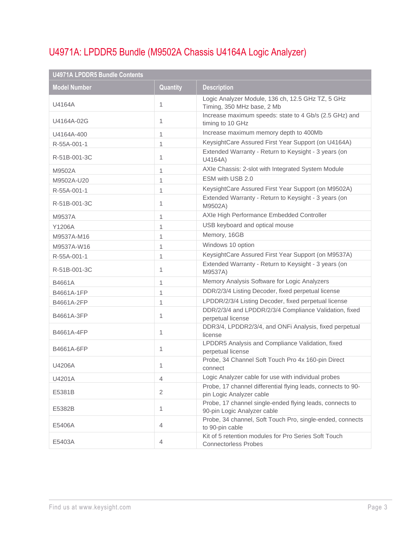# U4971A: LPDDR5 Bundle (M9502A Chassis U4164A Logic Analyzer)

| <b>U4971A LPDDR5 Bundle Contents</b> |                 |                                                                                          |  |  |
|--------------------------------------|-----------------|------------------------------------------------------------------------------------------|--|--|
| <b>Model Number</b>                  | <b>Quantity</b> | <b>Description</b>                                                                       |  |  |
| U4164A                               | 1               | Logic Analyzer Module, 136 ch, 12.5 GHz TZ, 5 GHz<br>Timing, 350 MHz base, 2 Mb          |  |  |
| U4164A-02G                           | 1               | Increase maximum speeds: state to 4 Gb/s (2.5 GHz) and<br>timing to 10 GHz               |  |  |
| U4164A-400                           | 1               | Increase maximum memory depth to 400Mb                                                   |  |  |
| R-55A-001-1                          | 1               | KeysightCare Assured First Year Support (on U4164A)                                      |  |  |
| R-51B-001-3C                         | 1               | Extended Warranty - Return to Keysight - 3 years (on<br>U4164A)                          |  |  |
| M9502A                               | 1               | AXIe Chassis: 2-slot with Integrated System Module                                       |  |  |
| M9502A-U20                           | 1               | ESM with USB 2.0                                                                         |  |  |
| R-55A-001-1                          | 1               | KeysightCare Assured First Year Support (on M9502A)                                      |  |  |
| R-51B-001-3C                         | 1               | Extended Warranty - Return to Keysight - 3 years (on<br>M9502A)                          |  |  |
| M9537A                               | 1               | AXIe High Performance Embedded Controller                                                |  |  |
| Y1206A                               | 1               | USB keyboard and optical mouse                                                           |  |  |
| M9537A-M16                           | 1               | Memory, 16GB                                                                             |  |  |
| M9537A-W16                           | 1               | Windows 10 option                                                                        |  |  |
| R-55A-001-1                          | 1               | KeysightCare Assured First Year Support (on M9537A)                                      |  |  |
| R-51B-001-3C                         | 1               | Extended Warranty - Return to Keysight - 3 years (on<br>M9537A)                          |  |  |
| B4661A                               | 1               | Memory Analysis Software for Logic Analyzers                                             |  |  |
| B4661A-1FP                           | 1               | DDR/2/3/4 Listing Decoder, fixed perpetual license                                       |  |  |
| B4661A-2FP                           | 1               | LPDDR/2/3/4 Listing Decoder, fixed perpetual license                                     |  |  |
| B4661A-3FP                           | 1               | DDR/2/3/4 and LPDDR/2/3/4 Compliance Validation, fixed<br>perpetual license              |  |  |
| B4661A-4FP                           | 1               | DDR3/4, LPDDR2/3/4, and ONFi Analysis, fixed perpetual<br>license                        |  |  |
| B4661A-6FP                           | 1               | LPDDR5 Analysis and Compliance Validation, fixed<br>perpetual license                    |  |  |
| U4206A                               | 1               | Probe, 34 Channel Soft Touch Pro 4x 160-pin Direct<br>connect                            |  |  |
| U4201A                               | 4               | Logic Analyzer cable for use with individual probes                                      |  |  |
| E5381B                               | $\overline{2}$  | Probe, 17 channel differential flying leads, connects to 90-<br>pin Logic Analyzer cable |  |  |
| E5382B                               | 1               | Probe, 17 channel single-ended flying leads, connects to<br>90-pin Logic Analyzer cable  |  |  |
| E5406A                               | 4               | Probe, 34 channel, Soft Touch Pro, single-ended, connects<br>to 90-pin cable             |  |  |
| E5403A                               | 4               | Kit of 5 retention modules for Pro Series Soft Touch<br><b>Connectorless Probes</b>      |  |  |